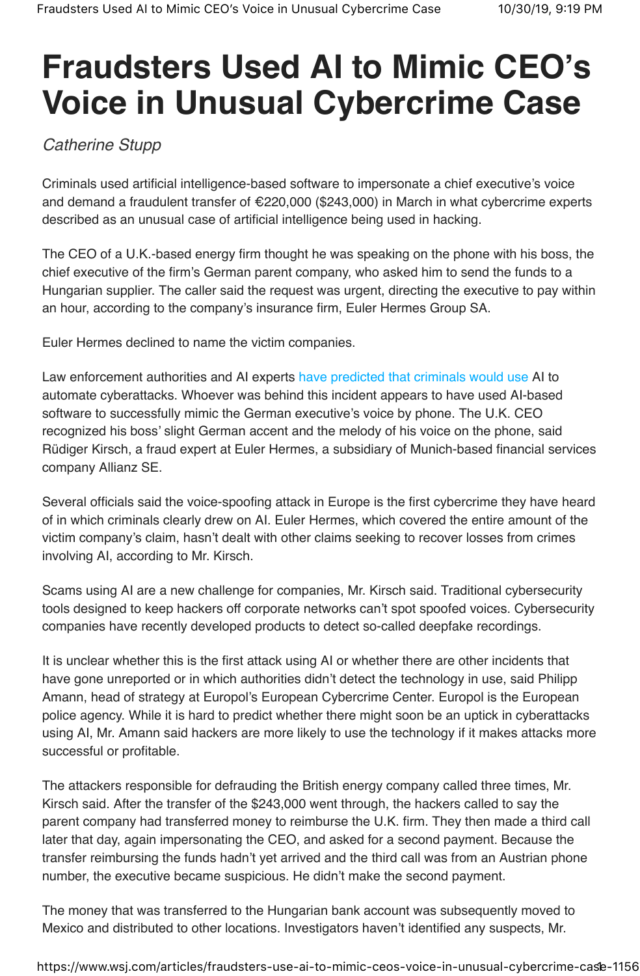## **Fraudsters Used AI to Mimic CEO's Voice in Unusual Cybercrime Case**

## Catherine Stupp

Criminals used artificial intelligence-based software to impersonate a chief executive's voice and demand a fraudulent transfer of €220,000 (\$243,000) in March in what cybercrime experts described as an unusual case of artificial intelligence being used in hacking.

The CEO of a U.K.-based energy firm thought he was speaking on the phone with his boss, the chief executive of the firm's German parent company, who asked him to send the funds to a Hungarian supplier. The caller said the request was urgent, directing the executive to pay within an hour, according to the company's insurance firm, Euler Hermes Group SA.

Euler Hermes declined to name the victim companies.

Law enforcement authorities and AI experts have predicted that criminals would use AI to automate cyberattacks. Whoever was behind this incident appears to have used AI-based software to successfully mimic the German executive's voice by phone. The U.K. CEO recognized his boss' slight German accent and the melody of his voice on the phone, said Rüdiger Kirsch, a fraud expert at Euler Hermes, a subsidiary of Munich-based financial services company Allianz SE.

Several officials said the voice-spoofing attack in Europe is the first cybercrime they have heard of in which criminals clearly drew on AI. Euler Hermes, which covered the entire amount of the victim company's claim, hasn't dealt with other claims seeking to recover losses from crimes involving AI, according to Mr. Kirsch.

Scams using AI are a new challenge for companies, Mr. Kirsch said. Traditional cybersecurity tools designed to keep hackers off corporate networks can't spot spoofed voices. Cybersecurity companies have recently developed products to detect so-called deepfake recordings.

It is unclear whether this is the first attack using AI or whether there are other incidents that have gone unreported or in which authorities didn't detect the technology in use, said Philipp Amann, head of strategy at Europol's European Cybercrime Center. Europol is the European police agency. While it is hard to predict whether there might soon be an uptick in cyberattacks using AI, Mr. Amann said hackers are more likely to use the technology if it makes attacks more successful or profitable.

The attackers responsible for defrauding the British energy company called three times, Mr. Kirsch said. After the transfer of the \$243,000 went through, the hackers called to say the parent company had transferred money to reimburse the U.K. firm. They then made a third call later that day, again impersonating the CEO, and asked for a second payment. Because the transfer reimbursing the funds hadn't yet arrived and the third call was from an Austrian phone number, the executive became suspicious. He didn't make the second payment.

The money that was transferred to the Hungarian bank account was subsequently moved to Mexico and distributed to other locations. Investigators haven't identified any suspects, Mr.

https://www.wsj.com/articles/fraudsters-use-ai-to-mimic-ceos-voice-in-unusual-cybercrime-case-1156